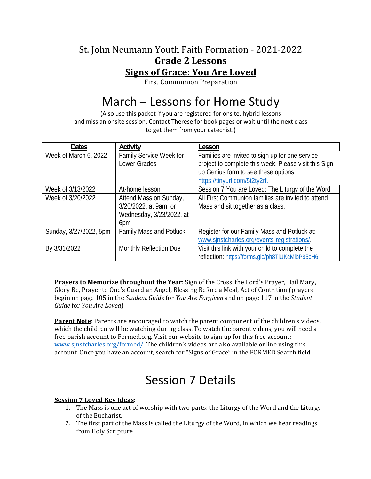### St. John Neumann Youth Faith Formation - 2021-2022 **Grade 2 Lessons Signs of Grace: You Are Loved**

First Communion Preparation

## March – Lessons for Home Study

(Also use this packet if you are registered for onsite, hybrid lessons and miss an onsite session. Contact Therese for book pages or wait until the next class to get them from your catechist.)

| <b>Dates</b>           | Activity                                                                           | Lesson                                                                                                                                                                             |
|------------------------|------------------------------------------------------------------------------------|------------------------------------------------------------------------------------------------------------------------------------------------------------------------------------|
| Week of March 6, 2022  | Family Service Week for<br>Lower Grades                                            | Families are invited to sign up for one service<br>project to complete this week. Please visit this Sign-<br>up Genius form to see these options:<br>https://tinyurl.com/5t2ty2rf. |
| Week of 3/13/2022      | At-home lesson                                                                     | Session 7 You are Loved: The Liturgy of the Word                                                                                                                                   |
| Week of 3/20/2022      | Attend Mass on Sunday,<br>3/20/2022, at 9am, or<br>Wednesday, 3/23/2022, at<br>6pm | All First Communion families are invited to attend<br>Mass and sit together as a class.                                                                                            |
| Sunday, 3/27/2022, 5pm | <b>Family Mass and Potluck</b>                                                     | Register for our Family Mass and Potluck at:<br>www.sinstcharles.org/events-registrations/.                                                                                        |
| By 3/31/2022           | <b>Monthly Reflection Due</b>                                                      | Visit this link with your child to complete the<br>reflection: https://forms.gle/ph8TiUKcMibP85cH6.                                                                                |

**Prayers to Memorize throughout the Year**: Sign of the Cross, the Lord's Prayer, Hail Mary, Glory Be, Prayer to One's Guardian Angel, Blessing Before a Meal, Act of Contrition (prayers begin on page 105 in the *Student Guide* for *You Are Forgiven* and on page 117 in the *Student Guide* for *You Are Loved*)

**Parent Note**: Parents are encouraged to watch the parent component of the children's videos, which the children will be watching during class. To watch the parent videos, you will need a free parish account to Formed.org. Visit our website to sign up for this free account: www.sjnstcharles.org/formed/. The children's videos are also available online using this account. Once you have an account, search for "Signs of Grace" in the FORMED Search field.

# Session 7 Details

### **Session 7 Loved Key Ideas**:

- 1. The Mass is one act of worship with two parts: the Liturgy of the Word and the Liturgy of the Eucharist.
- 2. The first part of the Mass is called the Liturgy of the Word, in which we hear readings from Holy Scripture